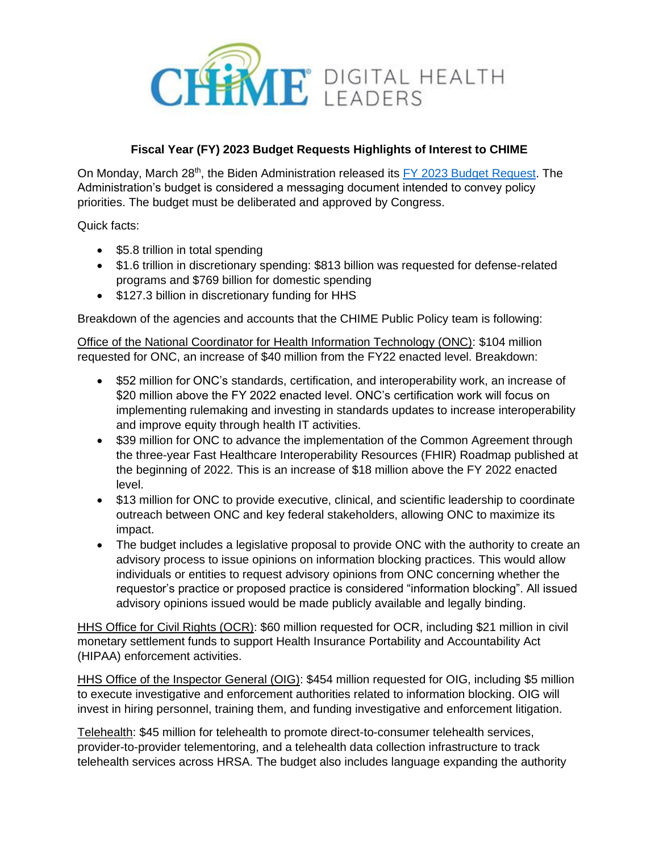

## **Fiscal Year (FY) 2023 Budget Requests Highlights of Interest to CHIME**

On Monday, March 28<sup>th</sup>, the Biden Administration released its [FY 2023 Budget Request.](https://www.whitehouse.gov/wp-content/uploads/2022/03/budget_fy2023.pdf) The Administration's budget is considered a messaging document intended to convey policy priorities. The budget must be deliberated and approved by Congress.

Quick facts:

- \$5.8 trillion in total spending
- \$1.6 trillion in discretionary spending: \$813 billion was requested for defense-related programs and \$769 billion for domestic spending
- \$127.3 billion in discretionary funding for HHS

Breakdown of the agencies and accounts that the CHIME Public Policy team is following:

Office of the National Coordinator for Health Information Technology (ONC): \$104 million requested for ONC, an increase of \$40 million from the FY22 enacted level. Breakdown:

- \$52 million for ONC's standards, certification, and interoperability work, an increase of \$20 million above the FY 2022 enacted level. ONC's certification work will focus on implementing rulemaking and investing in standards updates to increase interoperability and improve equity through health IT activities.
- \$39 million for ONC to advance the implementation of the Common Agreement through the three-year Fast Healthcare Interoperability Resources (FHIR) Roadmap published at the beginning of 2022. This is an increase of \$18 million above the FY 2022 enacted level.
- \$13 million for ONC to provide executive, clinical, and scientific leadership to coordinate outreach between ONC and key federal stakeholders, allowing ONC to maximize its impact.
- The budget includes a legislative proposal to provide ONC with the authority to create an advisory process to issue opinions on information blocking practices. This would allow individuals or entities to request advisory opinions from ONC concerning whether the requestor's practice or proposed practice is considered "information blocking". All issued advisory opinions issued would be made publicly available and legally binding.

HHS Office for Civil Rights (OCR): \$60 million requested for OCR, including \$21 million in civil monetary settlement funds to support Health Insurance Portability and Accountability Act (HIPAA) enforcement activities.

HHS Office of the Inspector General (OIG): \$454 million requested for OIG, including \$5 million to execute investigative and enforcement authorities related to information blocking. OIG will invest in hiring personnel, training them, and funding investigative and enforcement litigation.

Telehealth: \$45 million for telehealth to promote direct-to-consumer telehealth services, provider-to-provider telementoring, and a telehealth data collection infrastructure to track telehealth services across HRSA. The budget also includes language expanding the authority